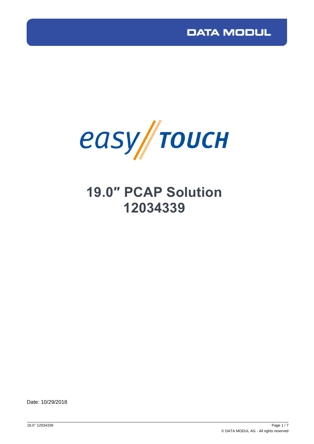

# **19.0″ PCAP Solution 12034339**

Date: 10/29/2018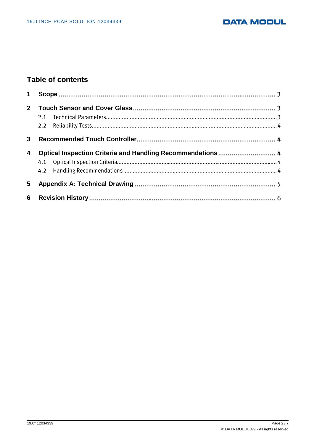#### **DATA MODUL**

### **Table of contents**

| $\mathbf 1$ |  |
|-------------|--|
| $2^{\circ}$ |  |
| 3           |  |
| 4           |  |
| 5           |  |
| 6           |  |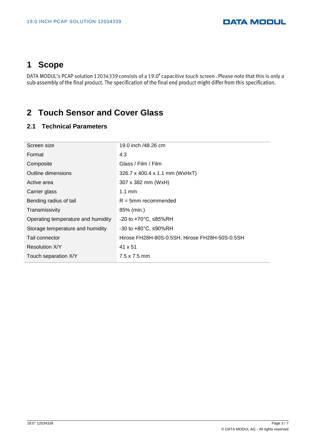# <span id="page-2-0"></span>**1 Scope**

DATA MODUL's PCAP solution 12034339 consists of a 19.0" capacitive touch screen. Please note that this is only a<br>sub-assembly of the final product. The specification of the final end product might differ from this specific

## <span id="page-2-1"></span>**2 Touch Sensor and Cover Glass**

#### **2.1 Technical Parameters**

| Screen size                        | 19.0 inch /48.26 cm                            |  |
|------------------------------------|------------------------------------------------|--|
| Format                             | 4:3                                            |  |
| Composite                          | Glass / Film / Film                            |  |
| Outline dimensions                 | 326.7 x 400.4 x 1.1 mm (WxHxT)                 |  |
| Active area                        | 307 x 382 mm (WxH)                             |  |
| Carrier glass                      | $1.1 \text{ mm}$                               |  |
| Bending radius of tail             | $R = 5$ mm recommended                         |  |
| Transmissivity                     | 85% (min.)                                     |  |
| Operating temperature and humidity | -20 to +70 $^{\circ}$ C, ≤85%RH                |  |
| Storage temperature and humidity   | -30 to +80 $°C$ , ≤90%RH                       |  |
| Tail connector                     | Hirose FH28H-80S-0.5SH, Hirose FH28H-50S-0.5SH |  |
| <b>Resolution X/Y</b>              | 41 x 51                                        |  |
| Touch separation X/Y               | $7.5 \times 7.5$ mm                            |  |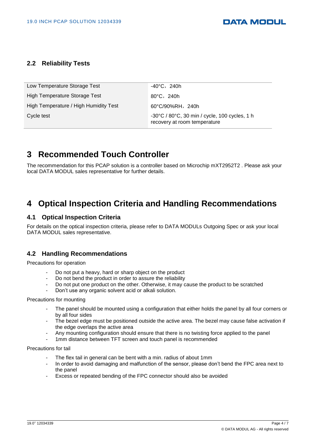#### **2.2 Reliability Tests**

| Low Temperature Storage Test          | $-40^{\circ}$ C, 240h                                                                              |
|---------------------------------------|----------------------------------------------------------------------------------------------------|
| High Temperature Storage Test         | 80°C,240h                                                                                          |
| High Temperature / High Humidity Test | $60^{\circ}$ C/90%RH, 240h                                                                         |
| Cycle test                            | $-30^{\circ}$ C / 80 $^{\circ}$ C, 30 min / cycle, 100 cycles, 1 h<br>recovery at room temperature |

## <span id="page-3-0"></span>**3 Recommended Touch Controller**

The recommendation for this PCAP solution is a controller based on Microchip mXT2952T2 . Please ask your local DATA MODUL sales representative for further details.

### <span id="page-3-1"></span>**4 Optical Inspection Criteria and Handling Recommendations**

#### **4.1 Optical Inspection Criteria**

For details on the optical inspection criteria, please refer to DATA MODULs Outgoing Spec or ask your local DATA MODUL sales representative.

#### **4.2 Handling Recommendations**

Precautions for operation

- Do not put a heavy, hard or sharp object on the product
- Do not bend the product in order to assure the reliability
- Do not put one product on the other. Otherwise, it may cause the product to be scratched
- Don't use any organic solvent acid or alkali solution.

#### Precautions for mounting

- The panel should be mounted using a configuration that either holds the panel by all four corners or by all four sides
- The bezel edge must be positioned outside the active area. The bezel may cause false activation if the edge overlaps the active area
- Any mounting configuration should ensure that there is no twisting force applied to the panel
- 1mm distance between TFT screen and touch panel is recommended

#### Precautions for tail

- The flex tail in general can be bent with a min. radius of about 1mm
- In order to avoid damaging and malfunction of the sensor, please don't bend the FPC area next to the panel
- Excess or repeated bending of the FPC connector should also be avoided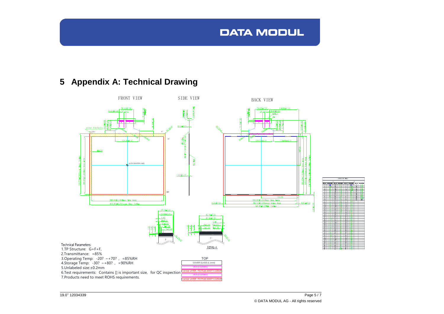# **DATA MODUL**

# **5 Appendix A: Technical Drawing**

<span id="page-4-0"></span>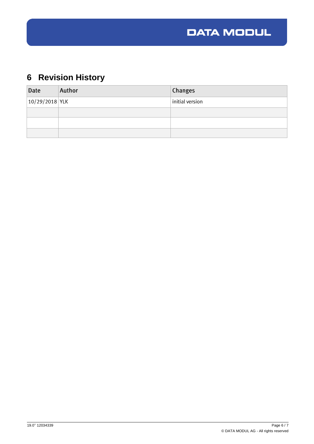

# <span id="page-5-0"></span>**6 Revision History**

| Date               | Author | Changes         |
|--------------------|--------|-----------------|
| $ 10/29/2018 $ YLK |        | initial version |
|                    |        |                 |
|                    |        |                 |
|                    |        |                 |